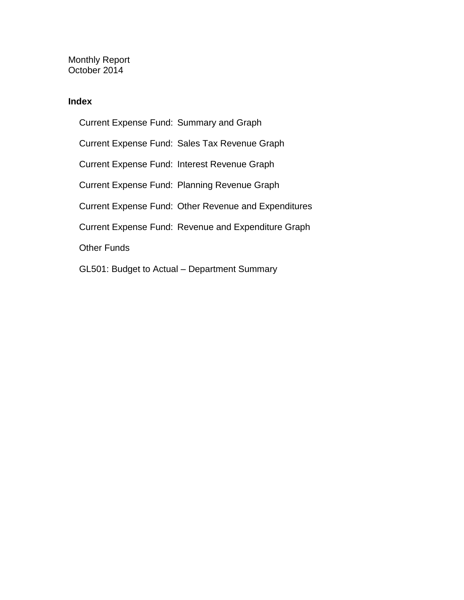Monthly Report October 2014

#### **Index**

Current Expense Fund: Summary and Graph Current Expense Fund: Sales Tax Revenue Graph Current Expense Fund: Interest Revenue Graph Current Expense Fund: Planning Revenue Graph Current Expense Fund: Other Revenue and Expenditures Current Expense Fund: Revenue and Expenditure Graph Other Funds GL501: Budget to Actual – Department Summary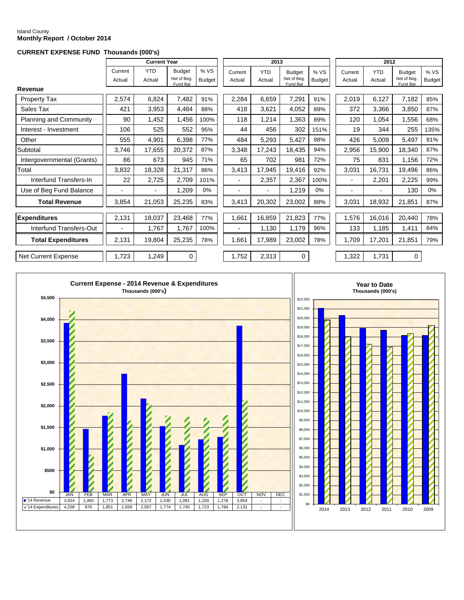#### Island County **Monthly Report / October 2014**

#### **CURRENT EXPENSE FUND Thousands (000's)**

|                               |                   | <b>Current Year</b>  |                                          |                      |                          | 2013                 |                                          |                      |                   | 2012                 |                                          |                       |
|-------------------------------|-------------------|----------------------|------------------------------------------|----------------------|--------------------------|----------------------|------------------------------------------|----------------------|-------------------|----------------------|------------------------------------------|-----------------------|
|                               | Current<br>Actual | <b>YTD</b><br>Actual | <b>Budget</b><br>Net of Beg.<br>Fund Bal | %VS<br><b>Budget</b> | Current<br>Actual        | <b>YTD</b><br>Actual | <b>Budget</b><br>Net of Beg.<br>Fund Bal | %VS<br><b>Budget</b> | Current<br>Actual | <b>YTD</b><br>Actual | <b>Budget</b><br>Net of Beg.<br>Fund Bal | % VS<br><b>Budget</b> |
| Revenue                       |                   |                      |                                          |                      |                          |                      |                                          |                      |                   |                      |                                          |                       |
| <b>Property Tax</b>           | 2,574             | 6,824                | 7,482                                    | 91%                  | 2,284                    | 6,659                | 7,291                                    | 91%                  | 2,019             | 6,127                | 7,182                                    | 85%                   |
| Sales Tax                     | 421               | 3,953                | 4,484                                    | 88%                  | 418                      | 3,621                | 4,052                                    | 89%                  | 372               | 3,366                | 3,850                                    | 87%                   |
| <b>Planning and Community</b> | 90                | 1,452                | 1,456                                    | 100%                 | 118                      | 1,214                | 1,363                                    | 89%                  | 120               | 1,054                | 1,556                                    | 68%                   |
| Interest - Investment         | 106               | 525                  | 552                                      | 95%                  | 44                       | 456                  | 302                                      | 151%                 | 19                | 344                  | 255                                      | 135%                  |
| Other                         | 555               | 4,901                | 6,398                                    | 77%                  | 484                      | 5,293                | 5,427                                    | 98%                  | 426               | 5,009                | 5,497                                    | 91%                   |
| Subtotal                      | 3,746             | 17,655               | 20,372                                   | 87%                  | 3,348                    | 17,243               | 18,435                                   | 94%                  | 2,956             | 15,900               | 18,340                                   | 87%                   |
| Intergovernmental (Grants)    | 86                | 673                  | 945                                      | 71%                  | 65                       | 702                  | 981                                      | 72%                  | 75                | 831                  | 1,156                                    | 72%                   |
| Total                         | 3,832             | 18,328               | 21,317                                   | 86%                  | 3,413                    | 17,945               | 19,416                                   | 92%                  | 3,031             | 16,731               | 19,496                                   | 86%                   |
| Interfund Transfers-In        | 22                | 2,725                | 2,709                                    | 101%                 | $\overline{\phantom{0}}$ | 2,357                | 2,367                                    | 100%                 |                   | 2,201                | 2,225                                    | 99%                   |
| Use of Beg Fund Balance       |                   | $\blacksquare$       | 1,209                                    | 0%                   | ۰                        |                      | 1,219                                    | 0%                   |                   | -                    | 130                                      | $0\%$                 |
| <b>Total Revenue</b>          | 3,854             | 21,053               | 25,235                                   | 83%                  | 3,413                    | 20,302               | 23,002                                   | 88%                  | 3,031             | 18,932               | 21,851                                   | 87%                   |
| Expenditures                  | 2,131             | 18,037               | 23,468                                   | 77%                  | 1,661                    | 16,859               | 21,823                                   | 77%                  | 1,576             | 16,016               | 20,440                                   | 78%                   |
| Interfund Transfers-Out       |                   | 1,767                | 1,767                                    | 100%                 |                          | 1,130                | 1,179                                    | 96%                  | 133               | 1,185                | 1,411                                    | 84%                   |
| <b>Total Expenditures</b>     | 2,131             | 19,804               | 25,235                                   | 78%                  | 1,661                    | 17,989               | 23,002                                   | 78%                  | 1,709             | 17,201               | 21,851                                   | 79%                   |
| Net Current Expense           | 1,723             | 1,249                | $\mathbf 0$                              |                      | 1,752                    | 2,313                | $\mathbf 0$                              |                      | 1,322             | 1,731                | 0                                        |                       |

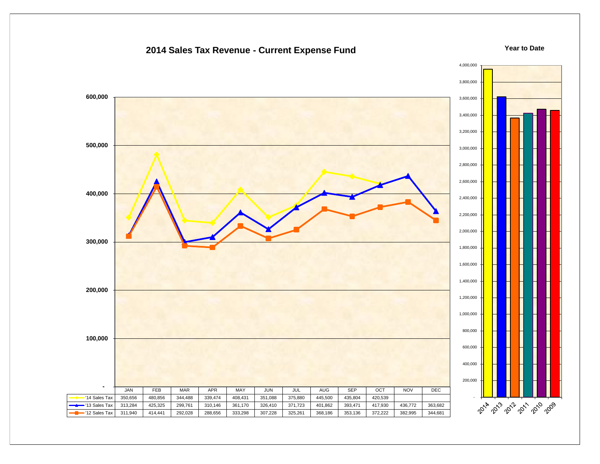#### 4,000,000 3,800,000  **600,000** 3,600,000 3,400,000 3,200,000  **500,000** 3,000,000 2,800,000 2,600,000  **400,000** 2,400,000 2,200,000 2,000,000  **300,000** 1,800,000 1,600,000 1,400,000  **200,000** 1,200,000 1,000,000 800,000  **100,000** 600,000 400,000 200,000  **-** JAN FEB MAR APR MAY JUN JUL AUG SEP OCT NOV DEC - '14 Sales Tax | 350,656 | 480,856 | 344,488 | 339,474 | 408,431 | 351,088 | 375,880 | 445,500 | 435,804 | 420,539 2014 2013 2012 2013 2019 '13 Sales Tax | 313,284 | 425,325 | 299,761 | 310,146 | 361,170 | 326,410 | 371,723 | 401,862 | 393,471 | 417,930 | 436,772 | 363,682 '12 Sales Tax | 311,940 | 414,441 | 292,028 | 288,656 | 333,298 | 307,228 | 325,261 | 368,186 | 353,136 | 372,222 | 382,995 | 344,681

#### **2014 Sales Tax Revenue - Current Expense Fund**

**Year to Date**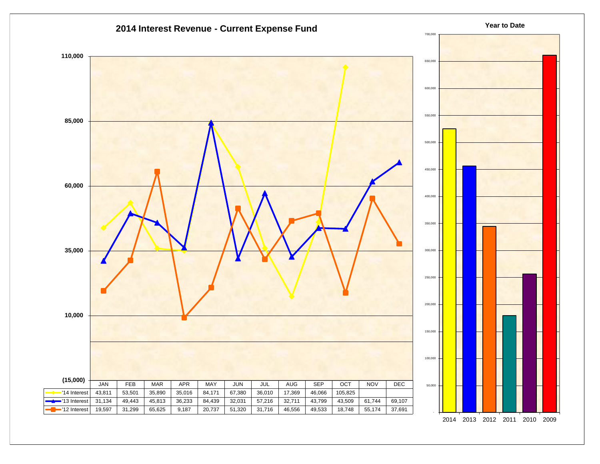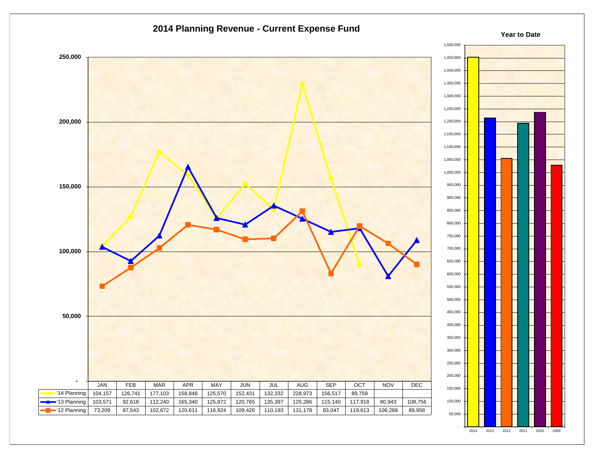



**Year to Date**

2014 2013 2012 2011 2010 2009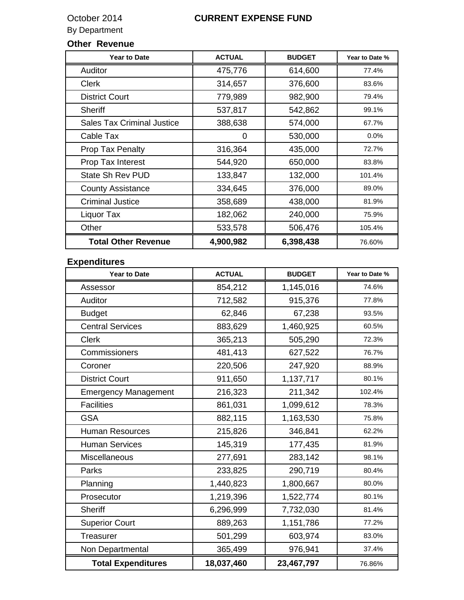## October 2014 **CURRENT EXPENSE FUND**

### By Department

## **Other Revenue**

| <b>Year to Date</b>               | <b>ACTUAL</b> | <b>BUDGET</b> | Year to Date % |
|-----------------------------------|---------------|---------------|----------------|
| <b>Auditor</b>                    | 475,776       | 614,600       | 77.4%          |
| <b>Clerk</b>                      | 314,657       | 376,600       | 83.6%          |
| <b>District Court</b>             | 779,989       | 982,900       | 79.4%          |
| <b>Sheriff</b>                    | 537,817       | 542,862       | 99.1%          |
| <b>Sales Tax Criminal Justice</b> | 388,638       | 574,000       | 67.7%          |
| Cable Tax                         | 0             | 530,000       | 0.0%           |
| Prop Tax Penalty                  | 316,364       | 435,000       | 72.7%          |
| Prop Tax Interest                 | 544,920       | 650,000       | 83.8%          |
| <b>State Sh Rev PUD</b>           | 133,847       | 132,000       | 101.4%         |
| <b>County Assistance</b>          | 334,645       | 376,000       | 89.0%          |
| <b>Criminal Justice</b>           | 358,689       | 438,000       | 81.9%          |
| Liquor Tax                        | 182,062       | 240,000       | 75.9%          |
| Other                             | 533,578       | 506,476       | 105.4%         |
| <b>Total Other Revenue</b>        | 4,900,982     | 6,398,438     | 76.60%         |

## **Expenditures**

| <b>Year to Date</b>         | <b>ACTUAL</b> | <b>BUDGET</b> | Year to Date % |
|-----------------------------|---------------|---------------|----------------|
| Assessor                    | 854,212       | 1,145,016     | 74.6%          |
| Auditor                     | 712,582       | 915,376       | 77.8%          |
| <b>Budget</b>               | 62,846        | 67,238        | 93.5%          |
| <b>Central Services</b>     | 883,629       | 1,460,925     | 60.5%          |
| <b>Clerk</b>                | 365,213       | 505,290       | 72.3%          |
| Commissioners               | 481,413       | 627,522       | 76.7%          |
| Coroner                     | 220,506       | 247,920       | 88.9%          |
| <b>District Court</b>       | 911,650       | 1,137,717     | 80.1%          |
| <b>Emergency Management</b> | 216,323       | 211,342       | 102.4%         |
| <b>Facilities</b>           | 861,031       | 1,099,612     | 78.3%          |
| <b>GSA</b>                  | 882,115       | 1,163,530     | 75.8%          |
| <b>Human Resources</b>      | 215,826       | 346,841       | 62.2%          |
| <b>Human Services</b>       | 145,319       | 177,435       | 81.9%          |
| Miscellaneous               | 277,691       | 283,142       | 98.1%          |
| Parks                       | 233,825       | 290,719       | 80.4%          |
| Planning                    | 1,440,823     | 1,800,667     | 80.0%          |
| Prosecutor                  | 1,219,396     | 1,522,774     | 80.1%          |
| <b>Sheriff</b>              | 6,296,999     | 7,732,030     | 81.4%          |
| <b>Superior Court</b>       | 889,263       | 1,151,786     | 77.2%          |
| Treasurer                   | 501,299       | 603,974       | 83.0%          |
| Non Departmental            | 365,499       | 976,941       | 37.4%          |
| <b>Total Expenditures</b>   | 18,037,460    | 23,467,797    | 76.86%         |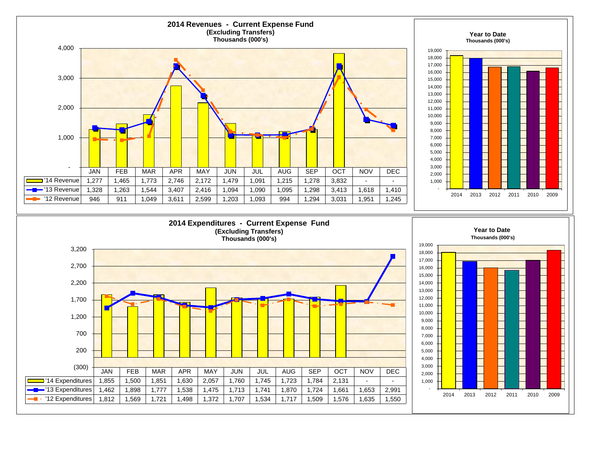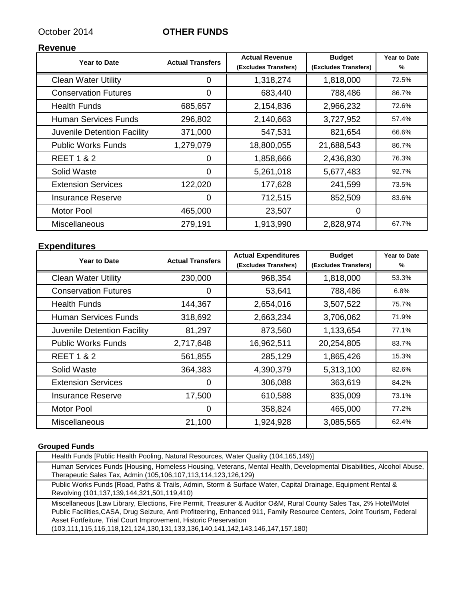#### October 2014 **OTHER FUNDS**

#### **Revenue**

| Year to Date                | <b>Actual Transfers</b> | <b>Actual Revenue</b><br>(Excludes Transfers) | <b>Budget</b><br>(Excludes Transfers) | <b>Year to Date</b><br>% |
|-----------------------------|-------------------------|-----------------------------------------------|---------------------------------------|--------------------------|
| <b>Clean Water Utility</b>  | O)                      | 1,318,274                                     | 1,818,000                             | 72.5%                    |
| <b>Conservation Futures</b> | 0                       | 683,440                                       | 788,486                               | 86.7%                    |
| <b>Health Funds</b>         | 685,657                 | 2,154,836                                     | 2,966,232                             | 72.6%                    |
| <b>Human Services Funds</b> | 296,802                 | 2,140,663                                     | 3,727,952                             | 57.4%                    |
| Juvenile Detention Facility | 371,000                 | 547,531                                       | 821,654                               | 66.6%                    |
| <b>Public Works Funds</b>   | 1,279,079               | 18,800,055                                    | 21,688,543                            | 86.7%                    |
| <b>REET 1 &amp; 2</b>       | 0                       | 1,858,666                                     | 2,436,830                             | 76.3%                    |
| Solid Waste                 | 0                       | 5,261,018                                     | 5,677,483                             | 92.7%                    |
| <b>Extension Services</b>   | 122,020                 | 177,628                                       | 241,599                               | 73.5%                    |
| <b>Insurance Reserve</b>    | $\Omega$                | 712,515                                       | 852,509                               | 83.6%                    |
| <b>Motor Pool</b>           | 465,000                 | 23,507                                        | 0                                     |                          |
| <b>Miscellaneous</b>        | 279,191                 | 1,913,990                                     | 2,828,974                             | 67.7%                    |

#### **Expenditures**

| <b>Year to Date</b>         | <b>Actual Transfers</b> | <b>Actual Expenditures</b> | <b>Budget</b>        | <b>Year to Date</b> |
|-----------------------------|-------------------------|----------------------------|----------------------|---------------------|
|                             |                         | (Excludes Transfers)       | (Excludes Transfers) | %                   |
| <b>Clean Water Utility</b>  | 230,000                 | 968,354                    | 1,818,000            | 53.3%               |
| <b>Conservation Futures</b> | 0                       | 53,641                     | 788,486              | 6.8%                |
| <b>Health Funds</b>         | 144,367                 | 2,654,016                  | 3,507,522            | 75.7%               |
| Human Services Funds        | 318,692                 | 2,663,234                  | 3,706,062            | 71.9%               |
| Juvenile Detention Facility | 81,297                  | 873,560                    | 1,133,654            | 77.1%               |
| <b>Public Works Funds</b>   | 2,717,648               | 16,962,511                 | 20,254,805           | 83.7%               |
| <b>REET 1 &amp; 2</b>       | 561,855                 | 285,129                    | 1,865,426            | 15.3%               |
| Solid Waste                 | 364,383                 | 4,390,379                  | 5,313,100            | 82.6%               |
| <b>Extension Services</b>   | 0                       | 306,088                    | 363,619              | 84.2%               |
| <b>Insurance Reserve</b>    | 17,500                  | 610,588                    | 835,009              | 73.1%               |
| <b>Motor Pool</b>           | 0                       | 358,824                    | 465,000              | 77.2%               |
| Miscellaneous               | 21,100                  | 1,924,928                  | 3,085,565            | 62.4%               |

#### **Grouped Funds**

| Health Funds [Public Health Pooling, Natural Resources, Water Quality (104,165,149)]                                                                                                                                                                                                                                                                                                                                     |
|--------------------------------------------------------------------------------------------------------------------------------------------------------------------------------------------------------------------------------------------------------------------------------------------------------------------------------------------------------------------------------------------------------------------------|
| Human Services Funds [Housing, Homeless Housing, Veterans, Mental Health, Developmental Disabilities, Alcohol Abuse,<br>Therapeutic Sales Tax, Admin (105,106,107,113,114,123,126,129)                                                                                                                                                                                                                                   |
| Public Works Funds [Road, Paths & Trails, Admin, Storm & Surface Water, Capital Drainage, Equipment Rental &<br>Revolving (101,137,139,144,321,501,119,410)                                                                                                                                                                                                                                                              |
| Miscellaneous [Law Library, Elections, Fire Permit, Treasurer & Auditor O&M, Rural County Sales Tax, 2% Hotel/Motel<br>Public Facilities, CASA, Drug Seizure, Anti Profiteering, Enhanced 911, Family Resource Centers, Joint Tourism, Federal<br>Asset Fortfeiture, Trial Court Improvement, Historic Preservation<br>$(103, 111, 115, 116, 118, 121, 124, 130, 131, 133, 136, 140, 141, 142, 143, 146, 147, 157, 180)$ |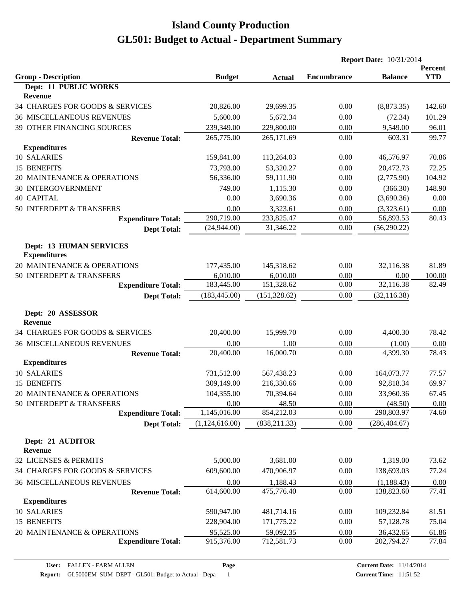|                                                |                |               | <b>Report Date: 10/31/2014</b> |                |                       |
|------------------------------------------------|----------------|---------------|--------------------------------|----------------|-----------------------|
| <b>Group - Description</b>                     | <b>Budget</b>  | <b>Actual</b> | <b>Encumbrance</b>             | <b>Balance</b> | Percent<br><b>YTD</b> |
| Dept: 11 PUBLIC WORKS<br>Revenue               |                |               |                                |                |                       |
| 34 CHARGES FOR GOODS & SERVICES                | 20,826.00      | 29,699.35     | 0.00                           | (8,873.35)     | 142.60                |
| <b>36 MISCELLANEOUS REVENUES</b>               | 5,600.00       | 5,672.34      | 0.00                           | (72.34)        | 101.29                |
| 39 OTHER FINANCING SOURCES                     | 239,349.00     | 229,800.00    | 0.00                           | 9,549.00       | 96.01                 |
| <b>Revenue Total:</b>                          | 265,775.00     | 265,171.69    | 0.00                           | 603.31         | 99.77                 |
| <b>Expenditures</b>                            |                |               |                                |                |                       |
| 10 SALARIES                                    | 159,841.00     | 113,264.03    | 0.00                           | 46,576.97      | 70.86                 |
| 15 BENEFITS                                    | 73,793.00      | 53,320.27     | 0.00                           | 20,472.73      | 72.25                 |
| 20 MAINTENANCE & OPERATIONS                    | 56,336.00      | 59,111.90     | 0.00                           | (2,775.90)     | 104.92                |
| <b>30 INTERGOVERNMENT</b>                      | 749.00         | 1,115.30      | 0.00                           | (366.30)       | 148.90                |
| <b>40 CAPITAL</b>                              | 0.00           | 3,690.36      | 0.00                           | (3,690.36)     | 0.00                  |
| 50 INTERDEPT & TRANSFERS                       | 0.00           | 3,323.61      | 0.00                           | (3,323.61)     | 0.00                  |
| <b>Expenditure Total:</b>                      | 290,719.00     | 233,825.47    | 0.00                           | 56,893.53      | 80.43                 |
| <b>Dept Total:</b>                             | (24,944.00)    | 31,346.22     | 0.00                           | (56, 290.22)   |                       |
| Dept: 13 HUMAN SERVICES<br><b>Expenditures</b> |                |               |                                |                |                       |
| 20 MAINTENANCE & OPERATIONS                    | 177,435.00     | 145,318.62    | 0.00                           | 32,116.38      | 81.89                 |
| 50 INTERDEPT & TRANSFERS                       | 6,010.00       | 6,010.00      | 0.00                           | 0.00           | 100.00                |
| <b>Expenditure Total:</b>                      | 183,445.00     | 151,328.62    | 0.00                           | 32,116.38      | 82.49                 |
| <b>Dept Total:</b>                             | (183, 445.00)  | (151, 328.62) | 0.00                           | (32, 116.38)   |                       |
| Dept: 20 ASSESSOR<br><b>Revenue</b>            |                |               |                                |                |                       |
| 34 CHARGES FOR GOODS & SERVICES                | 20,400.00      | 15,999.70     | 0.00                           | 4,400.30       | 78.42                 |
| <b>36 MISCELLANEOUS REVENUES</b>               | 0.00           | 1.00          | 0.00                           | (1.00)         | 0.00                  |
| <b>Revenue Total:</b>                          | 20,400.00      | 16,000.70     | 0.00                           | 4,399.30       | 78.43                 |
| <b>Expenditures</b>                            |                |               |                                |                |                       |
| 10 SALARIES                                    | 731,512.00     | 567,438.23    | 0.00                           | 164,073.77     | 77.57                 |
| 15 BENEFITS                                    | 309,149.00     | 216,330.66    | 0.00                           | 92,818.34      | 69.97                 |
| 20 MAINTENANCE & OPERATIONS                    | 104,355.00     | 70,394.64     | 0.00                           | 33,960.36      | 67.45                 |
| 50 INTERDEPT & TRANSFERS                       | 0.00           | 48.50         | 0.00                           | (48.50)        | 0.00                  |
| <b>Expenditure Total:</b>                      | 1,145,016.00   | 854,212.03    | 0.00                           | 290,803.97     | 74.60                 |
| <b>Dept Total:</b>                             | (1,124,616.00) | (838, 211.33) | 0.00                           | (286, 404.67)  |                       |
| Dept: 21 AUDITOR<br><b>Revenue</b>             |                |               |                                |                |                       |
| 32 LICENSES & PERMITS                          | 5,000.00       | 3,681.00      | 0.00                           | 1,319.00       | 73.62                 |
| 34 CHARGES FOR GOODS & SERVICES                | 609,600.00     | 470,906.97    | 0.00                           | 138,693.03     | 77.24                 |
| <b>36 MISCELLANEOUS REVENUES</b>               | 0.00           | 1,188.43      | 0.00                           | (1,188.43)     | 0.00                  |
| <b>Revenue Total:</b>                          | 614,600.00     | 475,776.40    | 0.00                           | 138,823.60     | 77.41                 |
| <b>Expenditures</b>                            |                |               |                                |                |                       |
| 10 SALARIES                                    | 590,947.00     | 481,714.16    | 0.00                           | 109,232.84     | 81.51                 |
| 15 BENEFITS                                    | 228,904.00     | 171,775.22    | 0.00                           | 57,128.78      | 75.04                 |
| 20 MAINTENANCE & OPERATIONS                    | 95,525.00      | 59,092.35     | 0.00                           | 36,432.65      | 61.86                 |
| <b>Expenditure Total:</b>                      | 915,376.00     | 712,581.73    | 0.00                           | 202,794.27     | 77.84                 |
|                                                |                |               |                                |                |                       |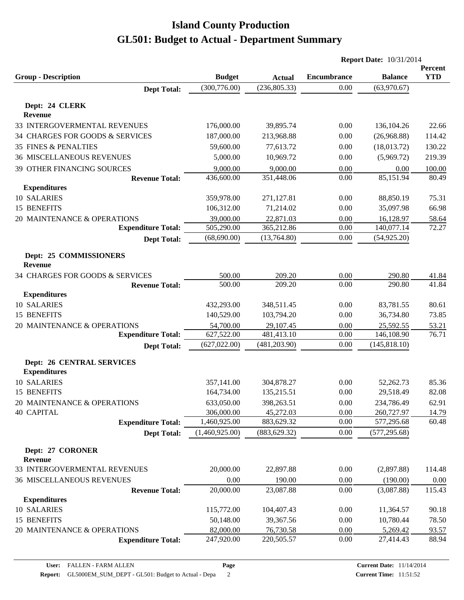|                                          |                |                                | <b>Report Date: 10/31/2014</b> |                |            |
|------------------------------------------|----------------|--------------------------------|--------------------------------|----------------|------------|
|                                          |                |                                |                                |                | Percent    |
| <b>Group - Description</b>               | <b>Budget</b>  | <b>Actual</b><br>(236, 805.33) | <b>Encumbrance</b>             | <b>Balance</b> | <b>YTD</b> |
| <b>Dept Total:</b>                       | (300, 776.00)  |                                | 0.00                           | (63,970.67)    |            |
| Dept: 24 CLERK                           |                |                                |                                |                |            |
| Revenue                                  |                |                                |                                |                |            |
| 33 INTERGOVERMENTAL REVENUES             | 176,000.00     | 39,895.74                      | 0.00                           | 136, 104. 26   | 22.66      |
| 34 CHARGES FOR GOODS & SERVICES          | 187,000.00     | 213,968.88                     | 0.00                           | (26,968.88)    | 114.42     |
| 35 FINES & PENALTIES                     | 59,600.00      | 77,613.72                      | 0.00                           | (18,013.72)    | 130.22     |
| <b>36 MISCELLANEOUS REVENUES</b>         | 5,000.00       | 10,969.72                      | 0.00                           | (5,969.72)     | 219.39     |
| 39 OTHER FINANCING SOURCES               | 9,000.00       | 9,000.00                       | 0.00                           | 0.00           | 100.00     |
| <b>Revenue Total:</b>                    | 436,600.00     | 351,448.06                     | 0.00                           | 85,151.94      | 80.49      |
| <b>Expenditures</b>                      |                |                                |                                |                |            |
| 10 SALARIES                              | 359,978.00     | 271,127.81                     | 0.00                           | 88,850.19      | 75.31      |
| 15 BENEFITS                              | 106,312.00     | 71,214.02                      | 0.00                           | 35,097.98      | 66.98      |
| 20 MAINTENANCE & OPERATIONS              | 39,000.00      | 22,871.03                      | 0.00                           | 16,128.97      | 58.64      |
| <b>Expenditure Total:</b>                | 505,290.00     | 365,212.86                     | 0.00                           | 140,077.14     | 72.27      |
| <b>Dept Total:</b>                       | (68, 690.00)   | (13,764.80)                    | 0.00                           | (54, 925.20)   |            |
|                                          |                |                                |                                |                |            |
| Dept: 25 COMMISSIONERS<br><b>Revenue</b> |                |                                |                                |                |            |
| 34 CHARGES FOR GOODS & SERVICES          | 500.00         | 209.20                         | 0.00                           | 290.80         | 41.84      |
| <b>Revenue Total:</b>                    | 500.00         | 209.20                         | 0.00                           | 290.80         | 41.84      |
| <b>Expenditures</b>                      |                |                                |                                |                |            |
| 10 SALARIES                              | 432,293.00     | 348,511.45                     | 0.00                           | 83,781.55      | 80.61      |
| 15 BENEFITS                              | 140,529.00     | 103,794.20                     | 0.00                           | 36,734.80      | 73.85      |
| 20 MAINTENANCE & OPERATIONS              | 54,700.00      | 29,107.45                      | 0.00                           | 25,592.55      | 53.21      |
| <b>Expenditure Total:</b>                | 627,522.00     | 481,413.10                     | 0.00                           | 146,108.90     | 76.71      |
| <b>Dept Total:</b>                       | (627, 022.00)  | (481, 203.90)                  | 0.00                           | (145, 818.10)  |            |
|                                          |                |                                |                                |                |            |
| <b>Dept: 26 CENTRAL SERVICES</b>         |                |                                |                                |                |            |
| <b>Expenditures</b>                      |                |                                |                                |                |            |
| 10 SALARIES                              | 357,141.00     | 304,878.27                     | 0.00                           | 52,262.73      | 85.36      |
| 15 BENEFITS                              | 164,734.00     | 135,215.51                     | 0.00                           | 29,518.49      | 82.08      |
| 20 MAINTENANCE & OPERATIONS              | 633,050.00     | 398,263.51                     | 0.00                           | 234,786.49     | 62.91      |
| <b>40 CAPITAL</b>                        | 306,000.00     | 45,272.03                      | 0.00                           | 260,727.97     | 14.79      |
| <b>Expenditure Total:</b>                | 1,460,925.00   | 883,629.32                     | 0.00                           | 577,295.68     | 60.48      |
| <b>Dept Total:</b>                       | (1,460,925.00) | (883, 629.32)                  | 0.00                           | (577, 295.68)  |            |
| Dept: 27 CORONER                         |                |                                |                                |                |            |
| Revenue                                  |                |                                |                                |                |            |
| 33 INTERGOVERMENTAL REVENUES             | 20,000.00      | 22,897.88                      | 0.00                           | (2,897.88)     | 114.48     |
| <b>36 MISCELLANEOUS REVENUES</b>         | 0.00           | 190.00                         | 0.00                           | (190.00)       | 0.00       |
| <b>Revenue Total:</b>                    | 20,000.00      | 23,087.88                      | 0.00                           | (3,087.88)     | 115.43     |
| <b>Expenditures</b>                      |                |                                |                                |                |            |
| 10 SALARIES                              | 115,772.00     | 104,407.43                     | 0.00                           | 11,364.57      | 90.18      |
| 15 BENEFITS                              | 50,148.00      | 39,367.56                      | 0.00                           | 10,780.44      | 78.50      |
| 20 MAINTENANCE & OPERATIONS              | 82,000.00      | 76,730.58                      | 0.00                           | 5,269.42       | 93.57      |
| <b>Expenditure Total:</b>                | 247,920.00     | 220,505.57                     | 0.00                           | 27,414.43      | 88.94      |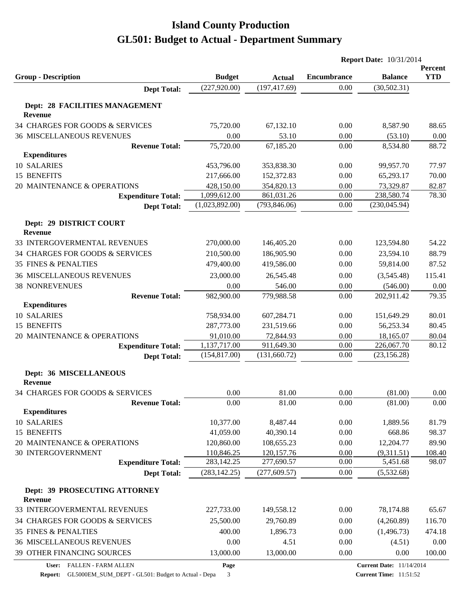|                                                  |                |               | <b>Report Date: 10/31/2014</b> |                |                       |
|--------------------------------------------------|----------------|---------------|--------------------------------|----------------|-----------------------|
| <b>Group - Description</b>                       | <b>Budget</b>  | <b>Actual</b> | <b>Encumbrance</b>             | <b>Balance</b> | Percent<br><b>YTD</b> |
| <b>Dept Total:</b>                               | (227, 920.00)  | (197, 417.69) | 0.00                           | (30, 502.31)   |                       |
|                                                  |                |               |                                |                |                       |
| Dept: 28 FACILITIES MANAGEMENT<br><b>Revenue</b> |                |               |                                |                |                       |
| 34 CHARGES FOR GOODS & SERVICES                  | 75,720.00      | 67,132.10     | 0.00                           | 8,587.90       | 88.65                 |
| <b>36 MISCELLANEOUS REVENUES</b>                 | 0.00           | 53.10         | 0.00                           | (53.10)        | 0.00                  |
| <b>Revenue Total:</b>                            | 75,720.00      | 67,185.20     | 0.00                           | 8,534.80       | 88.72                 |
| <b>Expenditures</b>                              |                |               |                                |                |                       |
| 10 SALARIES                                      | 453,796.00     | 353,838.30    | 0.00                           | 99,957.70      | 77.97                 |
| 15 BENEFITS                                      | 217,666.00     | 152,372.83    | 0.00                           | 65,293.17      | 70.00                 |
| 20 MAINTENANCE & OPERATIONS                      | 428,150.00     | 354,820.13    | 0.00                           | 73,329.87      | 82.87                 |
| <b>Expenditure Total:</b>                        | 1,099,612.00   | 861,031.26    | 0.00                           | 238,580.74     | 78.30                 |
| <b>Dept Total:</b>                               | (1,023,892.00) | (793, 846.06) | 0.00                           | (230, 045.94)  |                       |
| Dept: 29 DISTRICT COURT                          |                |               |                                |                |                       |
| <b>Revenue</b>                                   |                |               |                                |                |                       |
| 33 INTERGOVERMENTAL REVENUES                     | 270,000.00     | 146,405.20    | 0.00                           | 123,594.80     | 54.22                 |
| 34 CHARGES FOR GOODS & SERVICES                  | 210,500.00     | 186,905.90    | 0.00                           | 23,594.10      | 88.79                 |
| <b>35 FINES &amp; PENALTIES</b>                  | 479,400.00     | 419,586.00    | 0.00                           | 59,814.00      | 87.52                 |
| <b>36 MISCELLANEOUS REVENUES</b>                 | 23,000.00      | 26,545.48     | 0.00                           | (3,545.48)     | 115.41                |
| <b>38 NONREVENUES</b>                            | 0.00           | 546.00        | 0.00                           | (546.00)       | 0.00                  |
| <b>Revenue Total:</b>                            | 982,900.00     | 779,988.58    | 0.00                           | 202,911.42     | 79.35                 |
| <b>Expenditures</b>                              |                |               |                                |                |                       |
| 10 SALARIES                                      | 758,934.00     | 607,284.71    | 0.00                           | 151,649.29     | 80.01                 |
| 15 BENEFITS                                      | 287,773.00     | 231,519.66    | 0.00                           | 56,253.34      | 80.45                 |
| 20 MAINTENANCE & OPERATIONS                      | 91,010.00      | 72,844.93     | 0.00                           | 18,165.07      | 80.04                 |
| <b>Expenditure Total:</b>                        | 1,137,717.00   | 911,649.30    | 0.00                           | 226,067.70     | 80.12                 |
| <b>Dept Total:</b>                               | (154, 817.00)  | (131,660.72)  | 0.00                           | (23, 156.28)   |                       |
|                                                  |                |               |                                |                |                       |
| Dept: 36 MISCELLANEOUS<br><b>Revenue</b>         |                |               |                                |                |                       |
| 34 CHARGES FOR GOODS & SERVICES                  | 0.00           | 81.00         | 0.00                           | (81.00)        | 0.00                  |
| <b>Revenue Total:</b>                            | 0.00           | 81.00         | 0.00                           | (81.00)        | 0.00                  |
| <b>Expenditures</b>                              |                |               |                                |                |                       |
| 10 SALARIES                                      | 10,377.00      | 8,487.44      | 0.00                           | 1,889.56       | 81.79                 |
| 15 BENEFITS                                      | 41,059.00      | 40,390.14     | 0.00                           | 668.86         | 98.37                 |
| 20 MAINTENANCE & OPERATIONS                      | 120,860.00     | 108,655.23    | 0.00                           | 12,204.77      | 89.90                 |
| <b>30 INTERGOVERNMENT</b>                        | 110,846.25     | 120, 157. 76  | 0.00                           | (9,311.51)     | 108.40                |
| <b>Expenditure Total:</b>                        | 283,142.25     | 277,690.57    | 0.00                           | 5,451.68       | 98.07                 |
| <b>Dept Total:</b>                               | (283, 142.25)  | (277, 609.57) | 0.00                           | (5,532.68)     |                       |
| Dept: 39 PROSECUTING ATTORNEY                    |                |               |                                |                |                       |
| Revenue                                          |                |               |                                |                |                       |
| 33 INTERGOVERMENTAL REVENUES                     | 227,733.00     | 149,558.12    | 0.00                           | 78,174.88      | 65.67                 |
| 34 CHARGES FOR GOODS & SERVICES                  | 25,500.00      | 29,760.89     | 0.00                           | (4,260.89)     | 116.70                |
| 35 FINES & PENALTIES                             | 400.00         | 1,896.73      | 0.00                           | (1,496.73)     | 474.18                |
| <b>36 MISCELLANEOUS REVENUES</b>                 | 0.00           | 4.51          | 0.00                           | (4.51)         | $0.00\,$              |
| 39 OTHER FINANCING SOURCES                       | 13,000.00      | 13,000.00     | 0.00                           | 0.00           | 100.00                |
|                                                  |                |               |                                |                |                       |

**User:** FALLEN - FARM ALLEN

**Report:** GL5000EM\_SUM\_DEPT - GL501: Budget to Actual - Depa 3

**Page**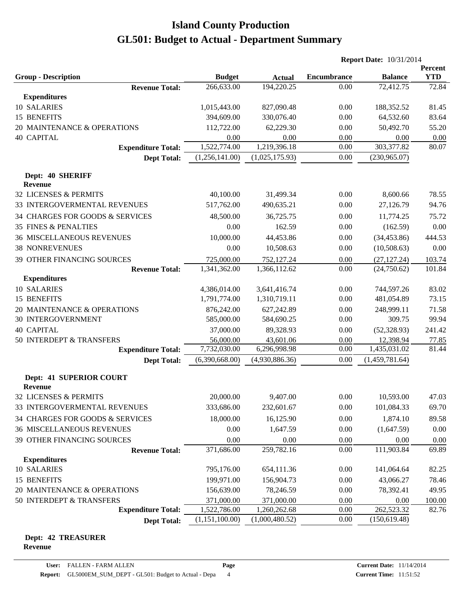|                                                     |                             |                             | <b>Report Date: 10/31/2014</b> |                             |                     |
|-----------------------------------------------------|-----------------------------|-----------------------------|--------------------------------|-----------------------------|---------------------|
|                                                     |                             |                             |                                |                             | Percent             |
| <b>Group - Description</b>                          | <b>Budget</b><br>266,633.00 | <b>Actual</b><br>194,220.25 | <b>Encumbrance</b><br>0.00     | <b>Balance</b><br>72,412.75 | <b>YTD</b><br>72.84 |
| <b>Revenue Total:</b><br><b>Expenditures</b>        |                             |                             |                                |                             |                     |
| 10 SALARIES                                         | 1,015,443.00                | 827,090.48                  | 0.00                           | 188,352.52                  | 81.45               |
| 15 BENEFITS                                         | 394,609.00                  | 330,076.40                  | 0.00                           | 64,532.60                   | 83.64               |
| 20 MAINTENANCE & OPERATIONS                         | 112,722.00                  | 62,229.30                   | 0.00                           | 50,492.70                   | 55.20               |
| <b>40 CAPITAL</b>                                   | 0.00                        | 0.00                        | 0.00                           | 0.00                        | 0.00                |
| <b>Expenditure Total:</b>                           | 1,522,774.00                | 1,219,396.18                | 0.00                           | 303,377.82                  | 80.07               |
| <b>Dept Total:</b>                                  | (1,256,141.00)              | (1,025,175.93)              | 0.00                           | (230,965.07)                |                     |
|                                                     |                             |                             |                                |                             |                     |
| Dept: 40 SHERIFF<br><b>Revenue</b>                  |                             |                             |                                |                             |                     |
| 32 LICENSES & PERMITS                               | 40,100.00                   | 31,499.34                   | 0.00                           | 8,600.66                    | 78.55               |
| 33 INTERGOVERMENTAL REVENUES                        | 517,762.00                  | 490,635.21                  | 0.00                           | 27,126.79                   | 94.76               |
| 34 CHARGES FOR GOODS & SERVICES                     | 48,500.00                   | 36,725.75                   | 0.00                           | 11,774.25                   | 75.72               |
| <b>35 FINES &amp; PENALTIES</b>                     | 0.00                        | 162.59                      | 0.00                           | (162.59)                    | 0.00                |
| <b>36 MISCELLANEOUS REVENUES</b>                    | 10,000.00                   | 44,453.86                   | 0.00                           | (34, 453.86)                | 444.53              |
| <b>38 NONREVENUES</b>                               | 0.00                        | 10,508.63                   | 0.00                           | (10,508.63)                 | 0.00                |
|                                                     |                             |                             |                                |                             |                     |
| 39 OTHER FINANCING SOURCES<br><b>Revenue Total:</b> | 725,000.00<br>1,341,362.00  | 752,127.24<br>1,366,112.62  | 0.00<br>0.00                   | (27, 127.24)<br>(24,750.62) | 103.74<br>101.84    |
| <b>Expenditures</b>                                 |                             |                             |                                |                             |                     |
| 10 SALARIES                                         | 4,386,014.00                | 3,641,416.74                | 0.00                           | 744,597.26                  | 83.02               |
| 15 BENEFITS                                         | 1,791,774.00                | 1,310,719.11                | 0.00                           | 481,054.89                  | 73.15               |
| 20 MAINTENANCE & OPERATIONS                         | 876,242.00                  | 627,242.89                  | 0.00                           | 248,999.11                  | 71.58               |
| <b>30 INTERGOVERNMENT</b>                           | 585,000.00                  | 584,690.25                  | 0.00                           | 309.75                      | 99.94               |
| <b>40 CAPITAL</b>                                   | 37,000.00                   | 89,328.93                   | 0.00                           | (52, 328.93)                | 241.42              |
| 50 INTERDEPT & TRANSFERS                            | 56,000.00                   | 43,601.06                   | 0.00                           | 12,398.94                   | 77.85               |
| <b>Expenditure Total:</b>                           | 7,732,030.00                | 6,296,998.98                | 0.00                           | 1,435,031.02                | 81.44               |
| <b>Dept Total:</b>                                  | (6,390,668.00)              | (4,930,886.36)              | 0.00                           | (1,459,781.64)              |                     |
|                                                     |                             |                             |                                |                             |                     |
| <b>Dept: 41 SUPERIOR COURT</b><br><b>Revenue</b>    |                             |                             |                                |                             |                     |
| 32 LICENSES & PERMITS                               | 20,000.00                   | 9,407.00                    | $0.00\,$                       | 10,593.00                   | 47.03               |
| 33 INTERGOVERMENTAL REVENUES                        | 333,686.00                  | 232,601.67                  | 0.00                           | 101,084.33                  | 69.70               |
| 34 CHARGES FOR GOODS & SERVICES                     | 18,000.00                   | 16,125.90                   | 0.00                           | 1,874.10                    | 89.58               |
| <b>36 MISCELLANEOUS REVENUES</b>                    | 0.00                        | 1,647.59                    | 0.00                           | (1,647.59)                  | 0.00                |
| 39 OTHER FINANCING SOURCES                          | 0.00                        | 0.00                        | 0.00                           | 0.00                        | 0.00                |
| <b>Revenue Total:</b>                               | 371,686.00                  | 259,782.16                  | 0.00                           | 111,903.84                  | 69.89               |
| <b>Expenditures</b>                                 |                             |                             |                                |                             |                     |
| 10 SALARIES                                         | 795,176.00                  | 654,111.36                  | 0.00                           | 141,064.64                  | 82.25               |
| 15 BENEFITS                                         | 199,971.00                  | 156,904.73                  | 0.00                           | 43,066.27                   | 78.46               |
| 20 MAINTENANCE & OPERATIONS                         | 156,639.00                  | 78,246.59                   | 0.00                           | 78,392.41                   | 49.95               |
| 50 INTERDEPT & TRANSFERS                            | 371,000.00                  | 371,000.00                  | 0.00                           | 0.00                        | 100.00              |
| <b>Expenditure Total:</b>                           | 1,522,786.00                | 1,260,262.68                | 0.00                           | 262,523.32                  | 82.76               |
| <b>Dept Total:</b>                                  | (1,151,100.00)              | (1,000,480.52)              | 0.00                           | (150, 619.48)               |                     |

#### **Dept: 42 TREASURER Revenue**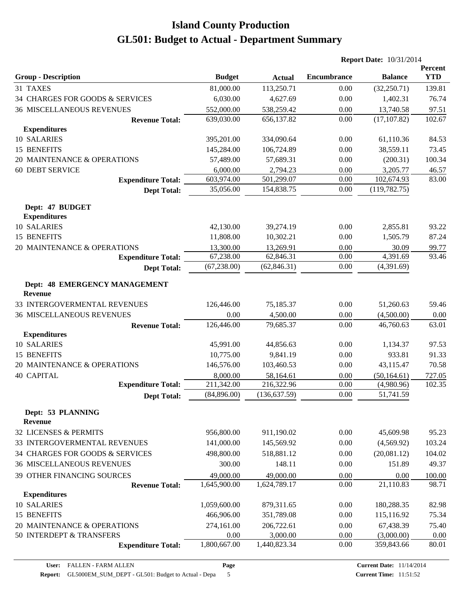|                                                 |               |               | <b>Report Date: 10/31/2014</b> |                |                       |
|-------------------------------------------------|---------------|---------------|--------------------------------|----------------|-----------------------|
| <b>Group - Description</b>                      | <b>Budget</b> | <b>Actual</b> | <b>Encumbrance</b>             | <b>Balance</b> | Percent<br><b>YTD</b> |
| 31 TAXES                                        | 81,000.00     | 113,250.71    | 0.00                           | (32,250.71)    | 139.81                |
| 34 CHARGES FOR GOODS & SERVICES                 | 6,030.00      | 4,627.69      | 0.00                           | 1,402.31       | 76.74                 |
| <b>36 MISCELLANEOUS REVENUES</b>                | 552,000.00    | 538,259.42    | 0.00                           | 13,740.58      | 97.51                 |
| <b>Revenue Total:</b>                           | 639,030.00    | 656,137.82    | 0.00                           | (17, 107.82)   | 102.67                |
| <b>Expenditures</b>                             |               |               |                                |                |                       |
| 10 SALARIES                                     | 395,201.00    | 334,090.64    | 0.00                           | 61,110.36      | 84.53                 |
| 15 BENEFITS                                     | 145,284.00    | 106,724.89    | 0.00                           | 38,559.11      | 73.45                 |
| 20 MAINTENANCE & OPERATIONS                     | 57,489.00     | 57,689.31     | 0.00                           | (200.31)       | 100.34                |
| <b>60 DEBT SERVICE</b>                          | 6,000.00      | 2,794.23      | 0.00                           | 3,205.77       | 46.57                 |
| <b>Expenditure Total:</b>                       | 603,974.00    | 501,299.07    | 0.00                           | 102,674.93     | 83.00                 |
| <b>Dept Total:</b>                              | 35,056.00     | 154,838.75    | 0.00                           | (119, 782.75)  |                       |
| Dept: 47 BUDGET<br><b>Expenditures</b>          |               |               |                                |                |                       |
| <b>10 SALARIES</b>                              | 42,130.00     | 39,274.19     | 0.00                           | 2,855.81       | 93.22                 |
| 15 BENEFITS                                     | 11,808.00     | 10,302.21     | 0.00                           | 1,505.79       | 87.24                 |
| 20 MAINTENANCE & OPERATIONS                     | 13,300.00     | 13,269.91     | 0.00                           | 30.09          | 99.77                 |
| <b>Expenditure Total:</b>                       | 67,238.00     | 62,846.31     | 0.00                           | 4,391.69       | 93.46                 |
| <b>Dept Total:</b>                              | (67, 238.00)  | (62, 846.31)  | 0.00                           | (4,391.69)     |                       |
| Dept: 48 EMERGENCY MANAGEMENT<br><b>Revenue</b> |               |               |                                |                |                       |
| 33 INTERGOVERMENTAL REVENUES                    | 126,446.00    | 75,185.37     | 0.00                           | 51,260.63      | 59.46                 |
| <b>36 MISCELLANEOUS REVENUES</b>                | 0.00          | 4,500.00      | 0.00                           | (4,500.00)     | 0.00                  |
| <b>Revenue Total:</b>                           | 126,446.00    | 79,685.37     | 0.00                           | 46,760.63      | 63.01                 |
| <b>Expenditures</b>                             |               |               |                                |                |                       |
| <b>10 SALARIES</b>                              | 45,991.00     | 44,856.63     | 0.00                           | 1,134.37       | 97.53                 |
| 15 BENEFITS                                     | 10,775.00     | 9,841.19      | 0.00                           | 933.81         | 91.33                 |
| 20 MAINTENANCE & OPERATIONS                     | 146,576.00    | 103,460.53    | 0.00                           | 43,115.47      | 70.58                 |
| <b>40 CAPITAL</b>                               | 8,000.00      | 58,164.61     | 0.00                           | (50, 164.61)   | 727.05                |
| <b>Expenditure Total:</b>                       | 211,342.00    | 216,322.96    | 0.00                           | (4,980.96)     | 102.35                |
| <b>Dept Total:</b>                              | (84,896.00)   | (136, 637.59) | 0.00                           | 51,741.59      |                       |
| Dept: 53 PLANNING<br><b>Revenue</b>             |               |               |                                |                |                       |
| 32 LICENSES & PERMITS                           | 956,800.00    | 911,190.02    | 0.00                           | 45,609.98      | 95.23                 |
| 33 INTERGOVERMENTAL REVENUES                    | 141,000.00    | 145,569.92    | 0.00                           | (4,569.92)     | 103.24                |
| 34 CHARGES FOR GOODS & SERVICES                 | 498,800.00    | 518,881.12    | 0.00                           | (20,081.12)    | 104.02                |
| <b>36 MISCELLANEOUS REVENUES</b>                | 300.00        | 148.11        | 0.00                           | 151.89         | 49.37                 |
| 39 OTHER FINANCING SOURCES                      | 49,000.00     | 49,000.00     | 0.00                           | 0.00           | 100.00                |
| <b>Revenue Total:</b>                           | 1,645,900.00  | 1,624,789.17  | 0.00                           | 21,110.83      | 98.71                 |
| <b>Expenditures</b>                             |               |               |                                |                |                       |
| 10 SALARIES                                     | 1,059,600.00  | 879,311.65    | 0.00                           | 180,288.35     | 82.98                 |
| 15 BENEFITS                                     | 466,906.00    | 351,789.08    | 0.00                           | 115,116.92     | 75.34                 |
| 20 MAINTENANCE & OPERATIONS                     | 274,161.00    | 206,722.61    | 0.00                           | 67,438.39      | 75.40                 |
| 50 INTERDEPT & TRANSFERS                        | 0.00          | 3,000.00      | 0.00                           | (3,000.00)     | 0.00                  |
| <b>Expenditure Total:</b>                       | 1,800,667.00  | 1,440,823.34  | 0.00                           | 359,843.66     | 80.01                 |
|                                                 |               |               |                                |                |                       |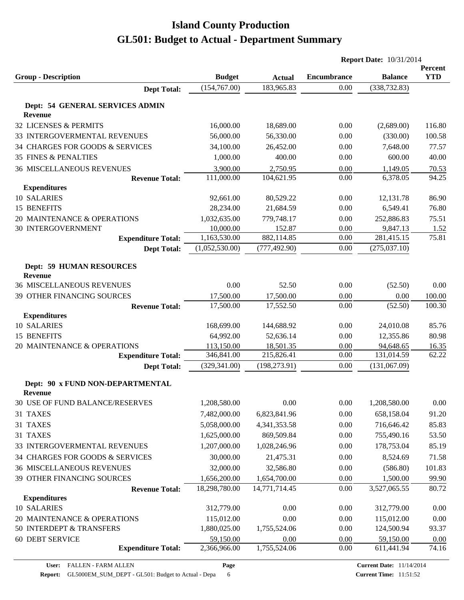|                                                          |                        |                        | <b>Report Date: 10/31/2014</b> |                 |                       |
|----------------------------------------------------------|------------------------|------------------------|--------------------------------|-----------------|-----------------------|
| <b>Group - Description</b>                               | <b>Budget</b>          | <b>Actual</b>          | <b>Encumbrance</b>             | <b>Balance</b>  | Percent<br><b>YTD</b> |
| <b>Dept Total:</b>                                       | (154, 767.00)          | 183,965.83             | 0.00                           | (338, 732.83)   |                       |
|                                                          |                        |                        |                                |                 |                       |
| <b>Dept: 54 GENERAL SERVICES ADMIN</b><br><b>Revenue</b> |                        |                        |                                |                 |                       |
| 32 LICENSES & PERMITS                                    | 16,000.00              | 18,689.00              | 0.00                           | (2,689.00)      | 116.80                |
| 33 INTERGOVERMENTAL REVENUES                             | 56,000.00              | 56,330.00              | 0.00                           | (330.00)        | 100.58                |
| 34 CHARGES FOR GOODS & SERVICES                          | 34,100.00              | 26,452.00              | 0.00                           | 7,648.00        | 77.57                 |
| <b>35 FINES &amp; PENALTIES</b>                          | 1,000.00               | 400.00                 | 0.00                           | 600.00          | 40.00                 |
| <b>36 MISCELLANEOUS REVENUES</b>                         | 3,900.00               | 2,750.95               | 0.00                           | 1,149.05        | 70.53                 |
| <b>Revenue Total:</b>                                    | 111,000.00             | 104,621.95             | 0.00                           | 6,378.05        | 94.25                 |
| <b>Expenditures</b>                                      |                        |                        |                                |                 |                       |
| 10 SALARIES                                              | 92,661.00              | 80,529.22              | 0.00                           | 12,131.78       | 86.90                 |
| 15 BENEFITS                                              | 28,234.00              | 21,684.59              | 0.00                           | 6,549.41        | 76.80                 |
| 20 MAINTENANCE & OPERATIONS                              | 1,032,635.00           | 779,748.17             | 0.00                           | 252,886.83      | 75.51                 |
| <b>30 INTERGOVERNMENT</b>                                | 10,000.00              | 152.87                 | 0.00                           | 9,847.13        | 1.52                  |
| <b>Expenditure Total:</b>                                | 1,163,530.00           | 882,114.85             | 0.00                           | 281,415.15      | 75.81                 |
| <b>Dept Total:</b>                                       | (1,052,530.00)         | (777, 492.90)          | 0.00                           | (275, 037.10)   |                       |
|                                                          |                        |                        |                                |                 |                       |
| <b>Dept: 59 HUMAN RESOURCES</b>                          |                        |                        |                                |                 |                       |
| <b>Revenue</b><br><b>36 MISCELLANEOUS REVENUES</b>       | 0.00                   | 52.50                  | 0.00                           |                 | $0.00\,$              |
|                                                          |                        |                        |                                | (52.50)         |                       |
| 39 OTHER FINANCING SOURCES                               | 17,500.00<br>17,500.00 | 17,500.00<br>17,552.50 | 0.00<br>0.00                   | 0.00<br>(52.50) | 100.00                |
| <b>Revenue Total:</b><br><b>Expenditures</b>             |                        |                        |                                |                 | 100.30                |
| 10 SALARIES                                              | 168,699.00             | 144,688.92             | 0.00                           | 24,010.08       | 85.76                 |
| 15 BENEFITS                                              | 64,992.00              | 52,636.14              | 0.00                           | 12,355.86       | 80.98                 |
| 20 MAINTENANCE & OPERATIONS                              | 113,150.00             | 18,501.35              | 0.00                           | 94,648.65       | 16.35                 |
| <b>Expenditure Total:</b>                                | 346,841.00             | 215,826.41             | 0.00                           | 131,014.59      | 62.22                 |
| <b>Dept Total:</b>                                       | (329, 341.00)          | (198, 273.91)          | 0.00                           | (131,067.09)    |                       |
|                                                          |                        |                        |                                |                 |                       |
| Dept: 90 x FUND NON-DEPARTMENTAL                         |                        |                        |                                |                 |                       |
| <b>Revenue</b>                                           |                        |                        |                                |                 |                       |
| 30 USE OF FUND BALANCE/RESERVES                          | 1,208,580.00           | 0.00                   | 0.00                           | 1,208,580.00    | 0.00                  |
| 31 TAXES                                                 | 7,482,000.00           | 6,823,841.96           | 0.00                           | 658,158.04      | 91.20                 |
| 31 TAXES                                                 | 5,058,000.00           | 4,341,353.58           | 0.00                           | 716,646.42      | 85.83                 |
| 31 TAXES                                                 | 1,625,000.00           | 869,509.84             | 0.00                           | 755,490.16      | 53.50                 |
| 33 INTERGOVERMENTAL REVENUES                             | 1,207,000.00           | 1,028,246.96           | 0.00                           | 178,753.04      | 85.19                 |
| 34 CHARGES FOR GOODS & SERVICES                          | 30,000.00              | 21,475.31              | 0.00                           | 8,524.69        | 71.58                 |
| <b>36 MISCELLANEOUS REVENUES</b>                         | 32,000.00              | 32,586.80              | 0.00                           | (586.80)        | 101.83                |
| 39 OTHER FINANCING SOURCES                               | 1,656,200.00           | 1,654,700.00           | 0.00                           | 1,500.00        | 99.90                 |
| <b>Revenue Total:</b>                                    | 18,298,780.00          | 14,771,714.45          | 0.00                           | 3,527,065.55    | 80.72                 |
| <b>Expenditures</b>                                      |                        |                        |                                |                 |                       |
| 10 SALARIES                                              | 312,779.00             | 0.00                   | 0.00                           | 312,779.00      | 0.00                  |
| 20 MAINTENANCE & OPERATIONS                              | 115,012.00             | 0.00                   | 0.00                           | 115,012.00      | 0.00                  |
| 50 INTERDEPT & TRANSFERS                                 | 1,880,025.00           | 1,755,524.06           | 0.00                           | 124,500.94      | 93.37                 |
| <b>60 DEBT SERVICE</b>                                   | 59,150.00              | 0.00                   | 0.00                           | 59,150.00       | 0.00                  |
| <b>Expenditure Total:</b>                                | 2,366,966.00           | 1,755,524.06           | 0.00                           | 611,441.94      | 74.16                 |
|                                                          |                        |                        |                                |                 |                       |

**Page**